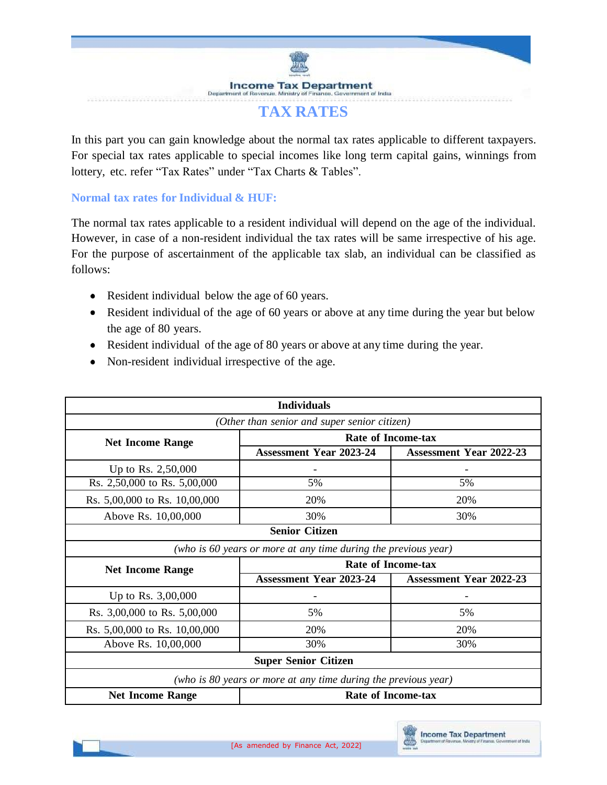**Income Tax Department** t of trictus Departme

## **TAX RATES**

In this part you can gain knowledge about the normal tax rates applicable to different taxpayers. For special tax rates applicable to special incomes like long term capital gains, winnings from lottery, etc. refer "Tax Rates" under "Tax Charts & Tables".

## **Normal tax rates for Individual & HUF:**

The normal tax rates applicable to a resident individual will depend on the age of the individual. However, in case of a non-resident individual the tax rates will be same irrespective of his age. For the purpose of ascertainment of the applicable tax slab, an individual can be classified as follows:

- Resident individual below the age of 60 years.
- Resident individual of the age of 60 years or above at any time during the year but below the age of 80 years.
- Resident individual of the age of 80 years or above at any time during the year.
- Non-resident individual irrespective of the age.

| <b>Individuals</b>                                             |                                                                |                                |  |  |
|----------------------------------------------------------------|----------------------------------------------------------------|--------------------------------|--|--|
| (Other than senior and super senior citizen)                   |                                                                |                                |  |  |
| <b>Net Income Range</b>                                        | <b>Rate of Income-tax</b>                                      |                                |  |  |
|                                                                | <b>Assessment Year 2023-24</b>                                 | <b>Assessment Year 2022-23</b> |  |  |
| Up to Rs. 2,50,000                                             |                                                                |                                |  |  |
| Rs. 2,50,000 to Rs. 5,00,000                                   | 5%                                                             | 5%                             |  |  |
| Rs. 5,00,000 to Rs. 10,00,000                                  | 20%                                                            | 20%                            |  |  |
| Above Rs. 10,00,000                                            | 30%                                                            | 30%                            |  |  |
|                                                                | <b>Senior Citizen</b>                                          |                                |  |  |
|                                                                | (who is 60 years or more at any time during the previous year) |                                |  |  |
| <b>Net Income Range</b>                                        | <b>Rate of Income-tax</b>                                      |                                |  |  |
|                                                                | <b>Assessment Year 2023-24</b>                                 | <b>Assessment Year 2022-23</b> |  |  |
| Up to Rs. 3,00,000                                             |                                                                |                                |  |  |
| Rs. 3,00,000 to Rs. 5,00,000                                   | 5%                                                             | 5%                             |  |  |
| Rs. 5,00,000 to Rs. 10,00,000                                  | 20%                                                            | 20%                            |  |  |
| Above Rs. 10,00,000                                            | 30%                                                            | 30%                            |  |  |
| <b>Super Senior Citizen</b>                                    |                                                                |                                |  |  |
| (who is 80 years or more at any time during the previous year) |                                                                |                                |  |  |
| <b>Rate of Income-tax</b><br><b>Net Income Range</b>           |                                                                |                                |  |  |

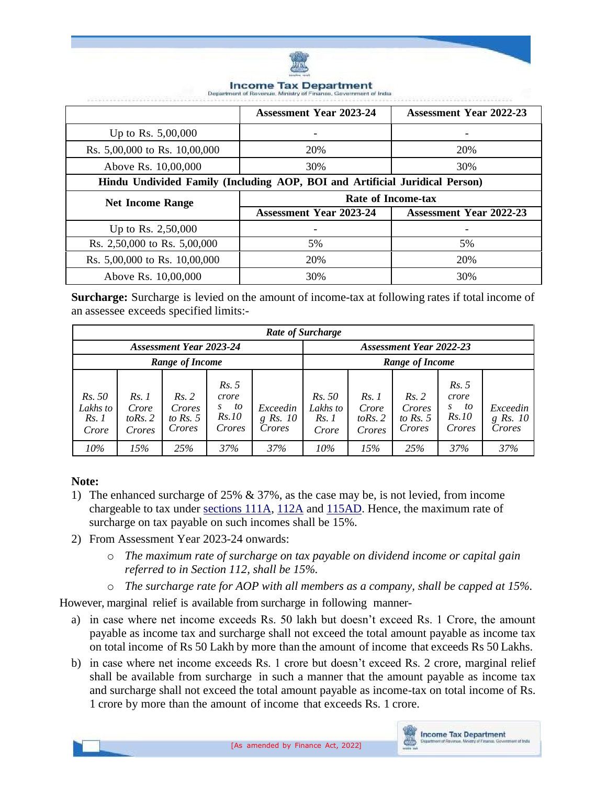

#### **Income Tax Department** Indus

|                                                                             | <b>Assessment Year 2023-24</b> | <b>Assessment Year 2022-23</b> |  |  |
|-----------------------------------------------------------------------------|--------------------------------|--------------------------------|--|--|
| Up to Rs. $5,00,000$                                                        |                                | -                              |  |  |
| Rs. 5,00,000 to Rs. 10,00,000                                               | 20%                            | 20%                            |  |  |
| Above Rs. 10,00,000                                                         | 30%                            | 30%                            |  |  |
| Hindu Undivided Family (Including AOP, BOI and Artificial Juridical Person) |                                |                                |  |  |
|                                                                             | Rate of Income-tax             |                                |  |  |
|                                                                             |                                |                                |  |  |
| <b>Net Income Range</b>                                                     | <b>Assessment Year 2023-24</b> | <b>Assessment Year 2022-23</b> |  |  |
| Up to Rs. 2,50,000                                                          |                                |                                |  |  |
| Rs. 2,50,000 to Rs. 5,00,000                                                | 5%                             | 5%                             |  |  |
| Rs. 5,00,000 to Rs. 10,00,000                                               | 20%                            | 20%                            |  |  |

**Surcharge:** Surcharge is levied on the amount of income-tax at following rates if total income of an assessee exceeds specified limits:-

| Rate of Surcharge                   |                                        |                                         |                                                     |                                  |                                            |                                       |                                         |                                              |                                  |
|-------------------------------------|----------------------------------------|-----------------------------------------|-----------------------------------------------------|----------------------------------|--------------------------------------------|---------------------------------------|-----------------------------------------|----------------------------------------------|----------------------------------|
| <b>Assessment Year 2023-24</b>      |                                        |                                         | <b>Assessment Year 2022-23</b>                      |                                  |                                            |                                       |                                         |                                              |                                  |
| Range of Income                     |                                        |                                         |                                                     |                                  | Range of Income                            |                                       |                                         |                                              |                                  |
| Rs. 50<br>Lakhs to<br>Rs.1<br>Crore | Rs. 1<br>Crore<br>to Rs. $2$<br>Crores | Rs. 2<br>Crores<br>to Rs. $5$<br>Crores | Rs. 5<br>crore<br>to<br>S<br><i>Rs.10</i><br>Crores | Exceedin<br>$g$ Rs. 10<br>Crores | <i>Rs.</i> 50<br>Lakhs to<br>Rs.1<br>Crore | Rs.1<br>Crore<br>to Rs. $2$<br>Crores | Rs. 2<br>Crores<br>to Rs. $5$<br>Crores | Rs. 5<br>crore<br>to<br>S<br>Rs.10<br>Crores | Exceedin<br>$g$ Rs. 10<br>Crores |
| 10%                                 | 15%                                    | 25%                                     | 37%                                                 | 37%                              | 10%                                        | 15%                                   | 25%                                     | 37%                                          | 37%                              |

### **Note:**

- 1) The enhanced surcharge of 25% & 37%, as the case may be, is not levied, from income chargeable to tax under [sections 111A,](javascript:ShowMainContent() [112A](javascript:ShowMainContent() and [115AD.](javascript:ShowMainContent() Hence, the maximum rate of surcharge on tax payable on such incomes shall be 15%.
- 2) From Assessment Year 2023-24 onwards:
	- o *The maximum rate of surcharge on tax payable on dividend income or capital gain referred to in Section 112, shall be 15%.*
	- o *The surcharge rate for AOP with all members as a company, shall be capped at 15%.*

However, marginal relief is available from surcharge in following manner-

- a) in case where net income exceeds Rs. 50 lakh but doesn't exceed Rs. 1 Crore, the amount payable as income tax and surcharge shall not exceed the total amount payable as income tax on total income of Rs 50 Lakh by more than the amount of income that exceeds Rs 50 Lakhs.
- b) in case where net income exceeds Rs. 1 crore but doesn't exceed Rs. 2 crore, marginal relief shall be available from surcharge in such a manner that the amount payable as income tax and surcharge shall not exceed the total amount payable as income-tax on total income of Rs. 1 crore by more than the amount of income that exceeds Rs. 1 crore.

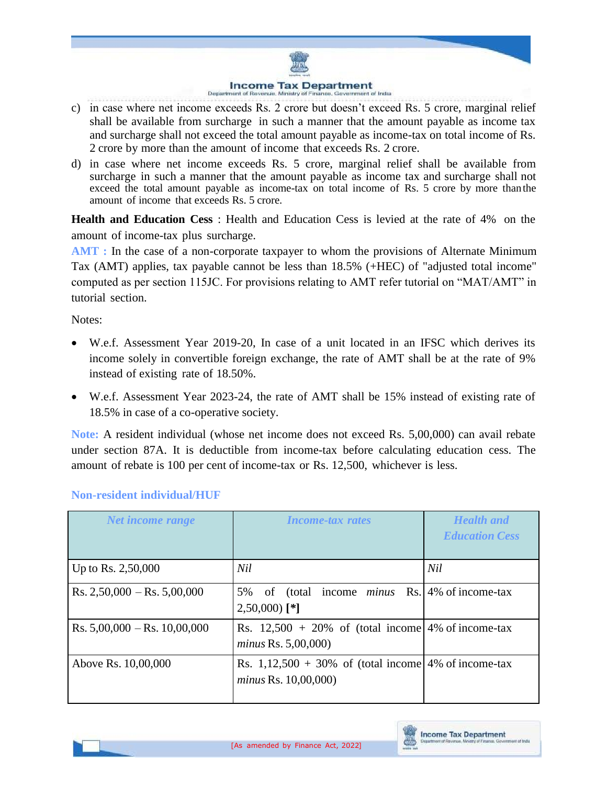### **Income Tax Department**

- c) in case where net income exceeds Rs. 2 crore but doesn't exceed Rs. 5 crore, marginal relief shall be available from surcharge in such a manner that the amount payable as income tax and surcharge shall not exceed the total amount payable as income-tax on total income of Rs. 2 crore by more than the amount of income that exceeds Rs. 2 crore.
- d) in case where net income exceeds Rs. 5 crore, marginal relief shall be available from surcharge in such a manner that the amount payable as income tax and surcharge shall not exceed the total amount payable as income-tax on total income of Rs. 5 crore by more thanthe amount of income that exceeds Rs. 5 crore.

**Health and Education Cess** : Health and Education Cess is levied at the rate of 4% on the amount of income-tax plus surcharge.

**AMT :** In the case of a non-corporate taxpayer to whom the provisions of Alternate Minimum Tax (AMT) applies, tax payable cannot be less than 18.5% (+HEC) of "adjusted total income" computed as per section 115JC. For provisions relating to AMT refer tutorial on "MAT/AMT" in tutorial section.

Notes:

- W.e.f. Assessment Year 2019-20, In case of a unit located in an IFSC which derives its income solely in convertible foreign exchange, the rate of AMT shall be at the rate of 9% instead of existing rate of 18.50%.
- W.e.f. Assessment Year 2023-24, the rate of AMT shall be 15% instead of existing rate of 18.5% in case of a co-operative society.

**Note:** A resident individual (whose net income does not exceed Rs. 5,00,000) can avail rebate under section 87A. It is deductible from income-tax before calculating education cess. The amount of rebate is 100 per cent of income-tax or Rs. 12,500, whichever is less.

| Net income range                 | <b>Income-tax rates</b>                                                         | <b>Health</b> and<br><b>Education Cess</b> |
|----------------------------------|---------------------------------------------------------------------------------|--------------------------------------------|
| Up to Rs. 2,50,000               | Nil                                                                             | Nil                                        |
| $Rs. 2,50,000 - Rs. 5,00,000$    | of (total income <i>minus</i> Rs. 4% of income-tax<br>5%<br>$2,50,000$ [*]      |                                            |
| Rs. $5,00,000 -$ Rs. $10,00,000$ | Rs. $12,500 + 20\%$ of (total income 4% of income-tax<br>minus Rs. $5,00,000$   |                                            |
| Above Rs. 10,00,000              | Rs. $1,12,500 + 30\%$ of (total income 4% of income-tax<br>minus Rs. 10,00,000) |                                            |

## **Non-resident individual/HUF**

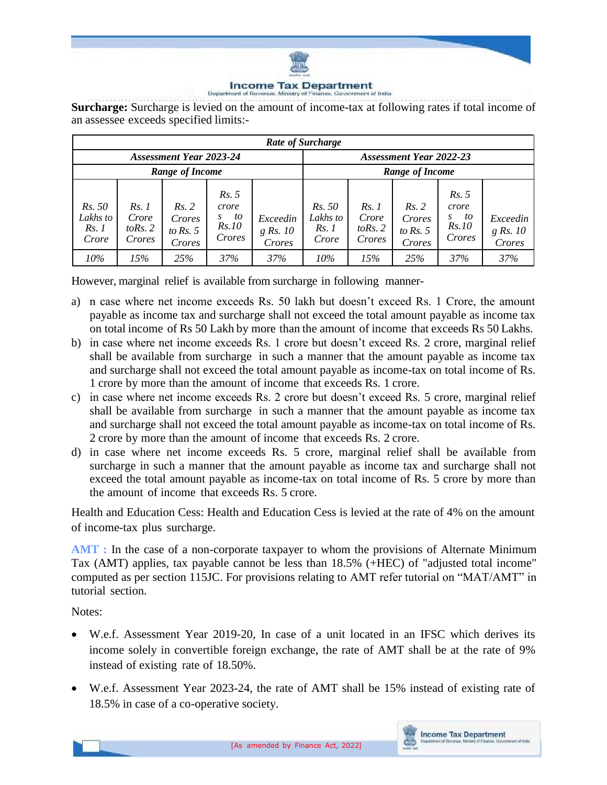

### **Income Tax Department** Department of Re

**Surcharge:** Surcharge is levied on the amount of income-tax at following rates if total income of an assessee exceeds specified limits:-

| Rate of Surcharge                   |                                       |                                         |                                                      |                                  |                                            |                                       |                                         |                                              |                                  |
|-------------------------------------|---------------------------------------|-----------------------------------------|------------------------------------------------------|----------------------------------|--------------------------------------------|---------------------------------------|-----------------------------------------|----------------------------------------------|----------------------------------|
| <b>Assessment Year 2023-24</b>      |                                       |                                         | <b>Assessment Year 2022-23</b>                       |                                  |                                            |                                       |                                         |                                              |                                  |
| Range of Income                     |                                       |                                         |                                                      |                                  | Range of Income                            |                                       |                                         |                                              |                                  |
| Rs. 50<br>Lakhs to<br>Rs.1<br>Crore | Rs.1<br>Crore<br>to Rs. $2$<br>Crores | Rs. 2<br>Crores<br>to Rs. $5$<br>Crores | Rs. 5<br>crore<br>to<br>S.<br><i>Rs.10</i><br>Crores | Exceedin<br>$g$ Rs. 10<br>Crores | <i>Rs.</i> 50<br>Lakhs to<br>Rs.1<br>Crore | Rs.1<br>Crore<br>to Rs. $2$<br>Crores | Rs. 2<br>Crores<br>to Rs. $5$<br>Crores | Rs. 5<br>crore<br>to<br>S<br>Rs.10<br>Crores | Exceedin<br>$g$ Rs. 10<br>Crores |
| 10%                                 | 15%                                   | 25%                                     | 37%                                                  | 37%                              | 10%                                        | 15%                                   | 25%                                     | 37%                                          | 37%                              |

However, marginal relief is available from surcharge in following manner-

- a) n case where net income exceeds Rs. 50 lakh but doesn't exceed Rs. 1 Crore, the amount payable as income tax and surcharge shall not exceed the total amount payable as income tax on total income of Rs 50 Lakh by more than the amount of income that exceeds Rs 50 Lakhs.
- b) in case where net income exceeds Rs. 1 crore but doesn't exceed Rs. 2 crore, marginal relief shall be available from surcharge in such a manner that the amount payable as income tax and surcharge shall not exceed the total amount payable as income-tax on total income of Rs. 1 crore by more than the amount of income that exceeds Rs. 1 crore.
- c) in case where net income exceeds Rs. 2 crore but doesn't exceed Rs. 5 crore, marginal relief shall be available from surcharge in such a manner that the amount payable as income tax and surcharge shall not exceed the total amount payable as income-tax on total income of Rs. 2 crore by more than the amount of income that exceeds Rs. 2 crore.
- d) in case where net income exceeds Rs. 5 crore, marginal relief shall be available from surcharge in such a manner that the amount payable as income tax and surcharge shall not exceed the total amount payable as income-tax on total income of Rs. 5 crore by more than the amount of income that exceeds Rs. 5 crore.

Health and Education Cess: Health and Education Cess is levied at the rate of 4% on the amount of income-tax plus surcharge.

**AMT** : In the case of a non-corporate taxpayer to whom the provisions of Alternate Minimum Tax (AMT) applies, tax payable cannot be less than 18.5% (+HEC) of "adjusted total income" computed as per section 115JC. For provisions relating to AMT refer tutorial on "MAT/AMT" in tutorial section.

### Notes:

- W.e.f. Assessment Year 2019-20, In case of a unit located in an IFSC which derives its income solely in convertible foreign exchange, the rate of AMT shall be at the rate of 9% instead of existing rate of 18.50%.
- W.e.f. Assessment Year 2023-24, the rate of AMT shall be 15% instead of existing rate of 18.5% in case of a co-operative society.

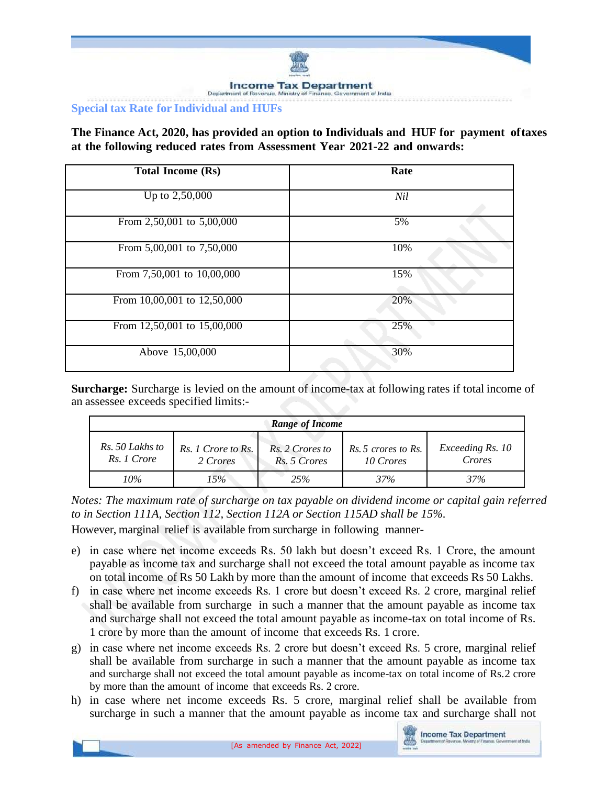

### **Special tax Rate for Individual and HUFs**

**The Finance Act, 2020, has provided an option to Individuals and HUF for payment oftaxes at the following reduced rates from Assessment Year 2021-22 and onwards:**

| <b>Total Income (Rs)</b>    | Rate |
|-----------------------------|------|
| Up to $2,50,000$            | Nil  |
| From 2,50,001 to 5,00,000   | 5%   |
| From 5,00,001 to 7,50,000   | 10%  |
| From 7,50,001 to 10,00,000  | 15%  |
| From 10,00,001 to 12,50,000 | 20%  |
| From 12,50,001 to 15,00,000 | 25%  |
| Above 15,00,000             | 30%  |

**Surcharge:** Surcharge is levied on the amount of income-tax at following rates if total income of an assessee exceeds specified limits:-

| Range of Income                |                                |                                 |                                  |                            |
|--------------------------------|--------------------------------|---------------------------------|----------------------------------|----------------------------|
| Rs. 50 Lakhs to<br>Rs. 1 Crore | Rs. 1 Crore to Rs.<br>2 Crores | Rs. 2 Crores to<br>Rs. 5 Crores | Rs. 5 crores to Rs.<br>10 Crores | Exceeding Rs. 10<br>Crores |
| $10\%$                         | 15%                            | 25%                             | 37%                              | 37%                        |

*Notes: The maximum rate of surcharge on tax payable on dividend income or capital gain referred to in Section 111A, Section 112, Section 112A or Section 115AD shall be 15%.* 

However, marginal relief is available from surcharge in following manner-

- e) in case where net income exceeds Rs. 50 lakh but doesn't exceed Rs. 1 Crore, the amount payable as income tax and surcharge shall not exceed the total amount payable as income tax on total income of Rs 50 Lakh by more than the amount of income that exceeds Rs 50 Lakhs.
- f) in case where net income exceeds Rs. 1 crore but doesn't exceed Rs. 2 crore, marginal relief shall be available from surcharge in such a manner that the amount payable as income tax and surcharge shall not exceed the total amount payable as income-tax on total income of Rs. 1 crore by more than the amount of income that exceeds Rs. 1 crore.
- g) in case where net income exceeds Rs. 2 crore but doesn't exceed Rs. 5 crore, marginal relief shall be available from surcharge in such a manner that the amount payable as income tax and surcharge shall not exceed the total amount payable as income-tax on total income of Rs.2 crore by more than the amount of income that exceeds Rs. 2 crore.
- h) in case where net income exceeds Rs. 5 crore, marginal relief shall be available from surcharge in such a manner that the amount payable as income tax and surcharge shall not

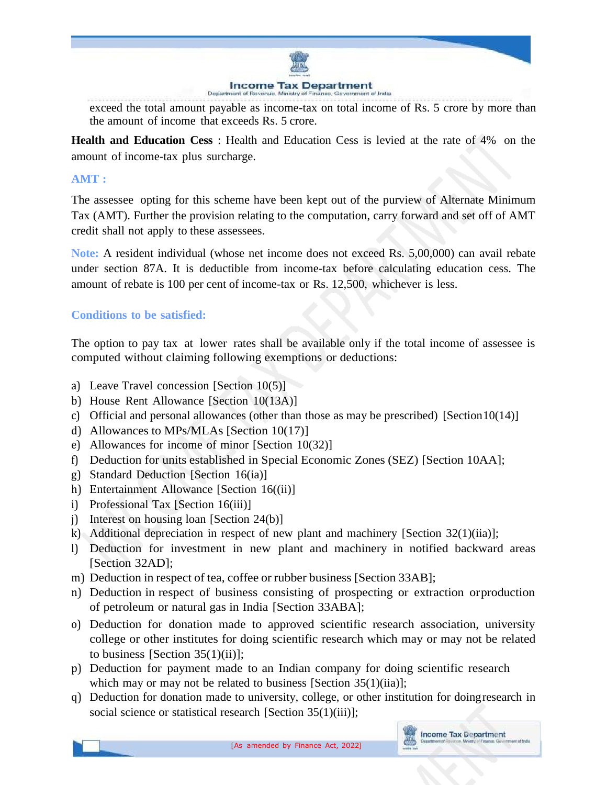

exceed the total amount payable as income-tax on total income of Rs. 5 crore by more than the amount of income that exceeds Rs. 5 crore.

**Health and Education Cess** : Health and Education Cess is levied at the rate of 4% on the amount of income-tax plus surcharge.

## **AMT :**

The assessee opting for this scheme have been kept out of the purview of Alternate Minimum Tax (AMT). Further the provision relating to the computation, carry forward and set off of AMT credit shall not apply to these assessees.

**Note:** A resident individual (whose net income does not exceed Rs. 5,00,000) can avail rebate under section 87A. It is deductible from income-tax before calculating education cess. The amount of rebate is 100 per cent of income-tax or Rs. 12,500, whichever is less.

### **Conditions to be satisfied:**

The option to pay tax at lower rates shall be available only if the total income of assessee is computed without claiming following exemptions or deductions:

- a) Leave Travel concession [Section 10(5)]
- b) House Rent Allowance [Section 10(13A)]
- c) Official and personal allowances (other than those as may be prescribed) [Section10(14)]
- d) Allowances to MPs/MLAs [Section 10(17)]
- e) Allowances for income of minor [Section 10(32)]
- f) Deduction for units established in Special Economic Zones (SEZ) [Section 10AA];
- g) Standard Deduction [Section 16(ia)]
- h) Entertainment Allowance [Section 16((ii)]
- i) Professional Tax [Section 16(iii)]
- j) Interest on housing loan [Section 24(b)]
- k) Additional depreciation in respect of new plant and machinery [Section 32(1)(iia)];
- l) Deduction for investment in new plant and machinery in notified backward areas [Section 32AD];
- m) Deduction in respect of tea, coffee or rubber business [Section 33AB];
- n) Deduction in respect of business consisting of prospecting or extraction orproduction of petroleum or natural gas in India [Section 33ABA];
- o) Deduction for donation made to approved scientific research association, university college or other institutes for doing scientific research which may or may not be related to business [Section  $35(1)(ii)$ ];
- p) Deduction for payment made to an Indian company for doing scientific research which may or may not be related to business [Section 35(1)(iia)];
- q) Deduction for donation made to university, college, or other institution for doingresearch in social science or statistical research [Section 35(1)(iii)];

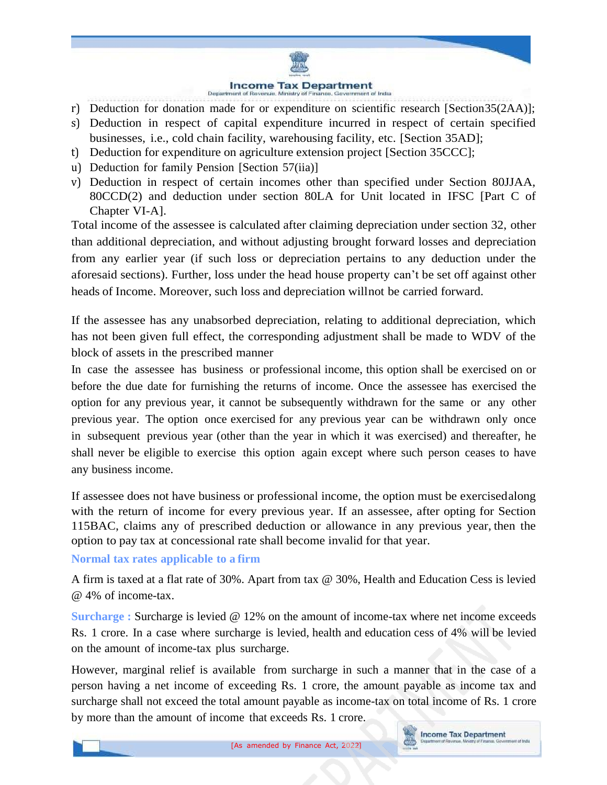### **Income Tax Department**

- r) Deduction for donation made for or expenditure on scientific research [Section35(2AA)];
- s) Deduction in respect of capital expenditure incurred in respect of certain specified businesses, i.e., cold chain facility, warehousing facility, etc. [Section 35AD];
- t) Deduction for expenditure on agriculture extension project [Section 35CCC];
- u) Deduction for family Pension [Section 57(iia)]
- v) Deduction in respect of certain incomes other than specified under Section 80JJAA, 80CCD(2) and deduction under section 80LA for Unit located in IFSC [Part C of Chapter VI-A].

Total income of the assessee is calculated after claiming depreciation under section 32, other than additional depreciation, and without adjusting brought forward losses and depreciation from any earlier year (if such loss or depreciation pertains to any deduction under the aforesaid sections). Further, loss under the head house property can't be set off against other heads of Income. Moreover, such loss and depreciation willnot be carried forward.

If the assessee has any unabsorbed depreciation, relating to additional depreciation, which has not been given full effect, the corresponding adjustment shall be made to WDV of the block of assets in the prescribed manner

In case the assessee has business or professional income, this option shall be exercised on or before the due date for furnishing the returns of income. Once the assessee has exercised the option for any previous year, it cannot be subsequently withdrawn for the same or any other previous year. The option once exercised for any previous year can be withdrawn only once in subsequent previous year (other than the year in which it was exercised) and thereafter, he shall never be eligible to exercise this option again except where such person ceases to have any business income.

If assessee does not have business or professional income, the option must be exercisedalong with the return of income for every previous year. If an assessee, after opting for Section 115BAC, claims any of prescribed deduction or allowance in any previous year, then the option to pay tax at concessional rate shall become invalid for that year.

**Normal tax rates applicable to a firm**

A firm is taxed at a flat rate of 30%. Apart from tax @ 30%, Health and Education Cess is levied @ 4% of income-tax.

**Surcharge :** Surcharge is levied @ 12% on the amount of income-tax where net income exceeds Rs. 1 crore. In a case where surcharge is levied, health and education cess of 4% will be levied on the amount of income-tax plus surcharge.

However, marginal relief is available from surcharge in such a manner that in the case of a person having a net income of exceeding Rs. 1 crore, the amount payable as income tax and surcharge shall not exceed the total amount payable as income-tax on total income of Rs. 1 crore by more than the amount of income that exceeds Rs. 1 crore.

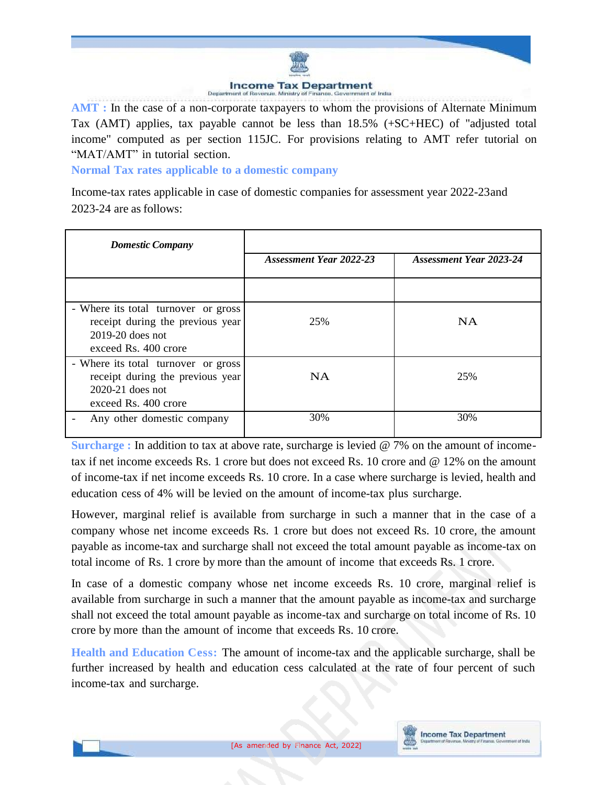

**AMT :** In the case of a non-corporate taxpayers to whom the provisions of Alternate Minimum Tax (AMT) applies, tax payable cannot be less than 18.5% (+SC+HEC) of "adjusted total income" computed as per section 115JC. For provisions relating to AMT refer tutorial on "MAT/AMT" in tutorial section.

**Normal Tax rates applicable to a domestic company**

Income-tax rates applicable in case of domestic companies for assessment year 2022-23and 2023-24 are as follows:

| <b>Domestic Company</b>                                                                                               | Assessment Year 2022-23 | <b>Assessment Year 2023-24</b> |
|-----------------------------------------------------------------------------------------------------------------------|-------------------------|--------------------------------|
|                                                                                                                       |                         |                                |
|                                                                                                                       |                         |                                |
| - Where its total turnover or gross<br>receipt during the previous year<br>$2019-20$ does not<br>exceed Rs. 400 crore | 25%                     | <b>NA</b>                      |
| - Where its total turnover or gross<br>receipt during the previous year<br>$2020-21$ does not<br>exceed Rs. 400 crore | <b>NA</b>               | 25%                            |
| Any other domestic company                                                                                            | 30%                     | 30%                            |

**Surcharge :** In addition to tax at above rate, surcharge is levied @ 7% on the amount of incometax if net income exceeds Rs. 1 crore but does not exceed Rs. 10 crore and @ 12% on the amount of income-tax if net income exceeds Rs. 10 crore. In a case where surcharge is levied, health and education cess of 4% will be levied on the amount of income-tax plus surcharge.

However, marginal relief is available from surcharge in such a manner that in the case of a company whose net income exceeds Rs. 1 crore but does not exceed Rs. 10 crore, the amount payable as income-tax and surcharge shall not exceed the total amount payable as income-tax on total income of Rs. 1 crore by more than the amount of income that exceeds Rs. 1 crore.

In case of a domestic company whose net income exceeds Rs. 10 crore, marginal relief is available from surcharge in such a manner that the amount payable as income-tax and surcharge shall not exceed the total amount payable as income-tax and surcharge on total income of Rs. 10 crore by more than the amount of income that exceeds Rs. 10 crore.

**Health and Education Cess:** The amount of income-tax and the applicable surcharge, shall be further increased by health and education cess calculated at the rate of four percent of such income-tax and surcharge.

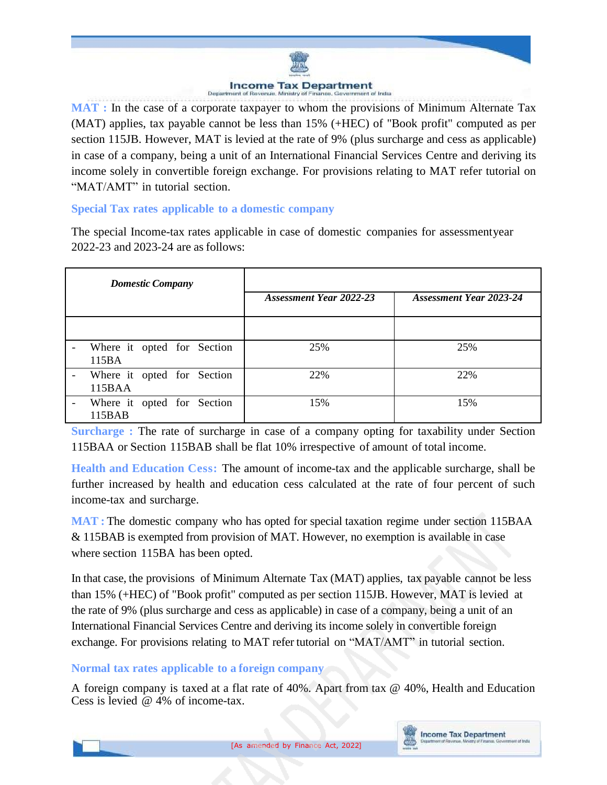# **Income Tax Department**

**MAT :** In the case of a corporate taxpayer to whom the provisions of Minimum Alternate Tax (MAT) applies, tax payable cannot be less than 15% (+HEC) of "Book profit" computed as per section 115JB. However, MAT is levied at the rate of 9% (plus surcharge and cess as applicable) in case of a company, being a unit of an International Financial Services Centre and deriving its income solely in convertible foreign exchange. For provisions relating to MAT refer tutorial on "MAT/AMT" in tutorial section.

## **Special Tax rates applicable to a domestic company**

The special Income-tax rates applicable in case of domestic companies for assessmentyear 2022-23 and 2023-24 are as follows:

| <b>Domestic Company</b>              |                                |                                |
|--------------------------------------|--------------------------------|--------------------------------|
|                                      | <b>Assessment Year 2022-23</b> | <b>Assessment Year 2023-24</b> |
|                                      |                                |                                |
| Where it opted for Section<br>115BA  | 25%                            | 25%                            |
| Where it opted for Section<br>115BAA | 22%                            | 22%                            |
| Where it opted for Section<br>115BAB | 15%                            | 15%                            |

**Surcharge** : The rate of surcharge in case of a company opting for taxability under Section 115BAA or Section 115BAB shall be flat 10% irrespective of amount of total income.

**Health and Education Cess:** The amount of income-tax and the applicable surcharge, shall be further increased by health and education cess calculated at the rate of four percent of such income-tax and surcharge.

**MAT**: The domestic company who has opted for special taxation regime under section 115BAA & 115BAB is exempted from provision of MAT. However, no exemption is available in case where section 115BA has been opted.

In that case, the provisions of Minimum Alternate Tax (MAT) applies, tax payable cannot be less than 15% (+HEC) of "Book profit" computed as per section 115JB. However, MAT is levied at the rate of 9% (plus surcharge and cess as applicable) in case of a company, being a unit of an International Financial Services Centre and deriving its income solely in convertible foreign exchange. For provisions relating to MAT refer tutorial on "MAT/AMT" in tutorial section.

## **Normal tax rates applicable to a foreign company**

A foreign company is taxed at a flat rate of 40%. Apart from tax @ 40%, Health and Education Cess is levied @ 4% of income-tax.

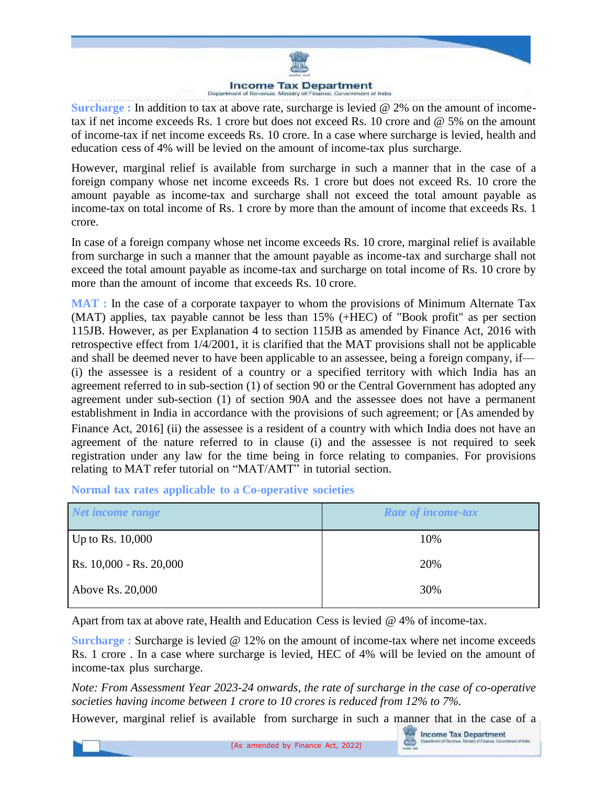### **Income Tax Department** Demart

**Surcharge :** In addition to tax at above rate, surcharge is levied @ 2% on the amount of incometax if net income exceeds Rs. 1 crore but does not exceed Rs. 10 crore and @ 5% on the amount of income-tax if net income exceeds Rs. 10 crore. In a case where surcharge is levied, health and education cess of 4% will be levied on the amount of income-tax plus surcharge.

However, marginal relief is available from surcharge in such a manner that in the case of a foreign company whose net income exceeds Rs. 1 crore but does not exceed Rs. 10 crore the amount payable as income-tax and surcharge shall not exceed the total amount payable as income-tax on total income of Rs. 1 crore by more than the amount of income that exceeds Rs. 1 crore.

In case of a foreign company whose net income exceeds Rs. 10 crore, marginal relief is available from surcharge in such a manner that the amount payable as income-tax and surcharge shall not exceed the total amount payable as income-tax and surcharge on total income of Rs. 10 crore by more than the amount of income that exceeds Rs. 10 crore.

**MAT :** In the case of a corporate taxpayer to whom the provisions of Minimum Alternate Tax (MAT) applies, tax payable cannot be less than 15% (+HEC) of "Book profit" as per section 115JB. However, as per Explanation 4 to section 115JB as amended by Finance Act, 2016 with retrospective effect from 1/4/2001, it is clarified that the MAT provisions shall not be applicable and shall be deemed never to have been applicable to an assessee, being a foreign company, if— (i) the assessee is a resident of a country or a specified territory with which India has an agreement referred to in sub-section (1) of section 90 or the Central Government has adopted any agreement under sub-section (1) of section 90A and the assessee does not have a permanent establishment in India in accordance with the provisions of such agreement; or [As amended by Finance Act, 2016] (ii) the assessee is a resident of a country with which India does not have an agreement of the nature referred to in clause (i) and the assessee is not required to seek registration under any law for the time being in force relating to companies. For provisions relating to MAT refer tutorial on "MAT/AMT" in tutorial section.

| Net income range        | <b>Rate of income-tax</b> |
|-------------------------|---------------------------|
| Up to Rs. $10,000$      | 10%                       |
| Rs. 10,000 - Rs. 20,000 | 20%                       |
| Above Rs. 20,000        | 30%                       |

**Normal tax rates applicable to a Co-operative societies**

Apart from tax at above rate, Health and Education Cess is levied @ 4% of income-tax.

**Surcharge :** Surcharge is levied @ 12% on the amount of income-tax where net income exceeds Rs. 1 crore . In a case where surcharge is levied, HEC of 4% will be levied on the amount of income-tax plus surcharge.

*Note: From Assessment Year 2023-24 onwards, the rate of surcharge in the case of co-operative societies having income between 1 crore to 10 crores is reduced from 12% to 7%.*

However, marginal relief is available from surcharge in such a manner that in the case of a

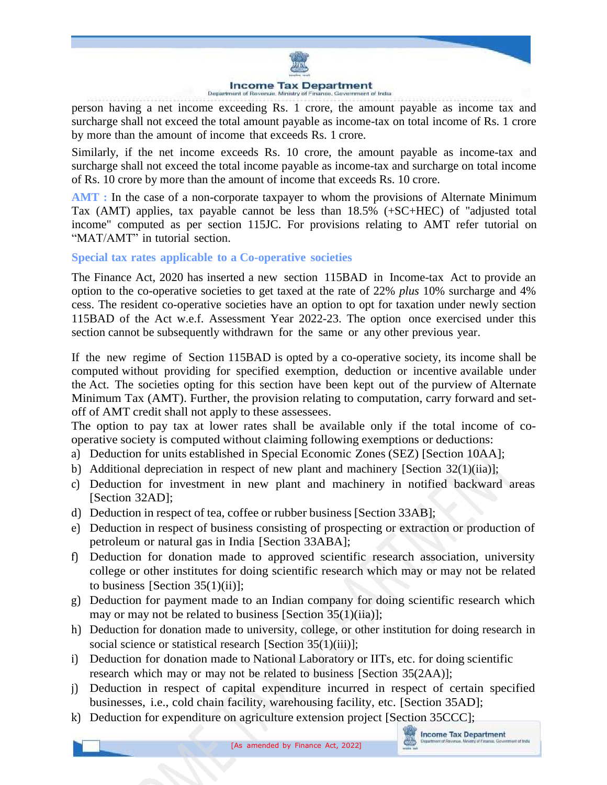

person having a net income exceeding Rs. 1 crore, the amount payable as income tax and surcharge shall not exceed the total amount payable as income-tax on total income of Rs. 1 crore by more than the amount of income that exceeds Rs. 1 crore.

Similarly, if the net income exceeds Rs. 10 crore, the amount payable as income-tax and surcharge shall not exceed the total income payable as income-tax and surcharge on total income of Rs. 10 crore by more than the amount of income that exceeds Rs. 10 crore.

**AMT :** In the case of a non-corporate taxpayer to whom the provisions of Alternate Minimum Tax (AMT) applies, tax payable cannot be less than 18.5% (+SC+HEC) of "adjusted total income" computed as per section 115JC. For provisions relating to AMT refer tutorial on "MAT/AMT" in tutorial section.

**Special tax rates applicable to a Co-operative societies**

The Finance Act, 2020 has inserted a new section 115BAD in Income-tax Act to provide an option to the co-operative societies to get taxed at the rate of 22% *plus* 10% surcharge and 4% cess. The resident co-operative societies have an option to opt for taxation under newly section 115BAD of the Act w.e.f. Assessment Year 2022-23. The option once exercised under this section cannot be subsequently withdrawn for the same or any other previous year.

If the new regime of Section 115BAD is opted by a co-operative society, its income shall be computed without providing for specified exemption, deduction or incentive available under the Act. The societies opting for this section have been kept out of the purview of Alternate Minimum Tax (AMT). Further, the provision relating to computation, carry forward and setoff of AMT credit shall not apply to these assessees.

The option to pay tax at lower rates shall be available only if the total income of cooperative society is computed without claiming following exemptions or deductions:

- a) Deduction for units established in Special Economic Zones (SEZ) [Section 10AA];
- b) Additional depreciation in respect of new plant and machinery [Section 32(1)(iia)];
- c) Deduction for investment in new plant and machinery in notified backward areas [Section 32AD];
- d) Deduction in respect of tea, coffee or rubber business [Section 33AB];
- e) Deduction in respect of business consisting of prospecting or extraction or production of petroleum or natural gas in India [Section 33ABA];
- f) Deduction for donation made to approved scientific research association, university college or other institutes for doing scientific research which may or may not be related to business [Section  $35(1)(ii)$ ];
- g) Deduction for payment made to an Indian company for doing scientific research which may or may not be related to business [Section 35(1)(iia)];
- h) Deduction for donation made to university, college, or other institution for doing research in social science or statistical research [Section 35(1)(iii)];
- i) Deduction for donation made to National Laboratory or IITs, etc. for doing scientific research which may or may not be related to business [Section 35(2AA)];
- j) Deduction in respect of capital expenditure incurred in respect of certain specified businesses, i.e., cold chain facility, warehousing facility, etc. [Section 35AD];
- k) Deduction for expenditure on agriculture extension project [Section 35CCC];

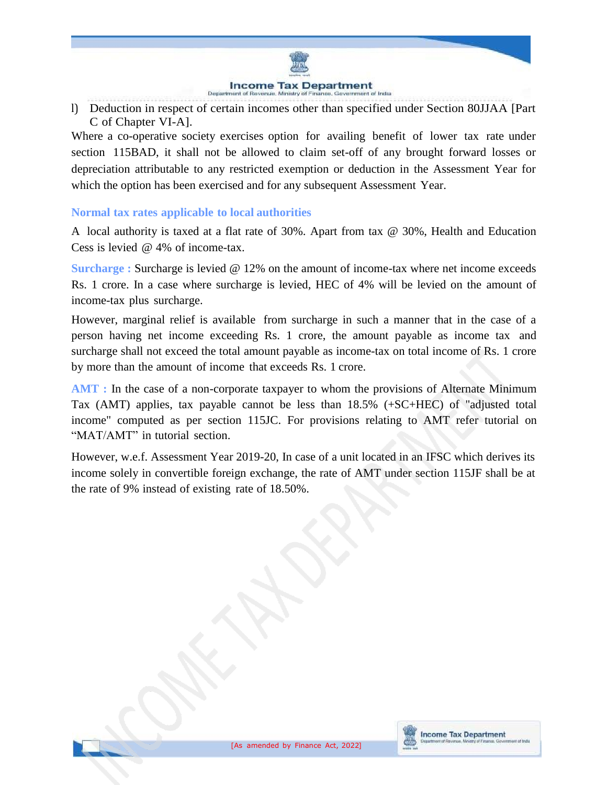

l) Deduction in respect of certain incomes other than specified under Section 80JJAA [Part C of Chapter VI-A].

Where a co-operative society exercises option for availing benefit of lower tax rate under section 115BAD, it shall not be allowed to claim set-off of any brought forward losses or depreciation attributable to any restricted exemption or deduction in the Assessment Year for which the option has been exercised and for any subsequent Assessment Year.

### **Normal tax rates applicable to local authorities**

A local authority is taxed at a flat rate of 30%. Apart from tax @ 30%, Health and Education Cess is levied @ 4% of income-tax.

**Surcharge :** Surcharge is levied @ 12% on the amount of income-tax where net income exceeds Rs. 1 crore. In a case where surcharge is levied, HEC of 4% will be levied on the amount of income-tax plus surcharge.

However, marginal relief is available from surcharge in such a manner that in the case of a person having net income exceeding Rs. 1 crore, the amount payable as income tax and surcharge shall not exceed the total amount payable as income-tax on total income of Rs. 1 crore by more than the amount of income that exceeds Rs. 1 crore.

**AMT :** In the case of a non-corporate taxpayer to whom the provisions of Alternate Minimum Tax (AMT) applies, tax payable cannot be less than 18.5% (+SC+HEC) of "adjusted total income" computed as per section 115JC. For provisions relating to AMT refer tutorial on "MAT/AMT" in tutorial section.

However, w.e.f. Assessment Year 2019-20, In case of a unit located in an IFSC which derives its income solely in convertible foreign exchange, the rate of AMT under section 115JF shall be at the rate of 9% instead of existing rate of 18.50%.



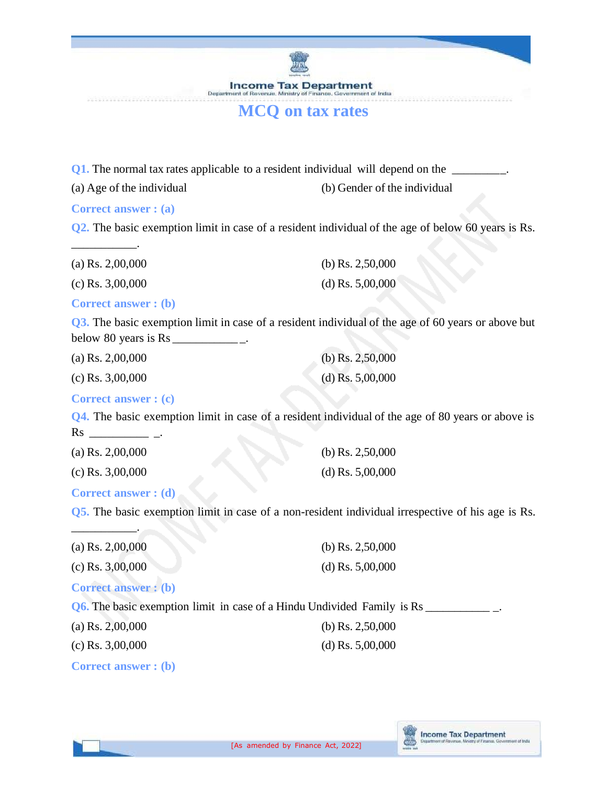**Income Tax Department** Department of t of trictus **Jim Miraintry** 

## **MCQ on tax rates**

**Q1.** The normal tax rates applicable to a resident individual will depend on the \_\_\_\_\_\_\_\_\_.

(a) Age of the individual (b) Gender of the individual

**Correct answer : (a)**

\_\_\_\_\_\_\_\_\_\_\_.

**Q2.** The basic exemption limit in case of a resident individual of the age of below 60 years is Rs.

| (a) Rs. $2,00,000$ | (b) Rs. $2,50,000$ |
|--------------------|--------------------|
| $(c)$ Rs. 3,00,000 | (d) Rs. $5,00,000$ |

**Correct answer : (b)**

**Q3.** The basic exemption limit in case of a resident individual of the age of 60 years or above but below 80 years is  $Rs$  \_\_\_\_\_\_\_\_\_\_\_\_\_\_\_\_\_\_\_\_\_.

| (a) Rs. $2,00,000$ | (b) Rs. $2,50,000$ |
|--------------------|--------------------|
| $(c)$ Rs. 3,00,000 | (d) Rs. $5,00,000$ |

### **Correct answer : (c)**

**Q4.** The basic exemption limit in case of a resident individual of the age of 80 years or above is Rs \_\_\_\_\_\_\_\_\_\_ \_.

| (a) Rs. $2,00,000$ | (b) Rs. $2,50,000$ |
|--------------------|--------------------|
| (c) Rs. $3,00,000$ | (d) Rs. $5,00,000$ |

### **Correct answer : (d)**

\_\_\_\_\_\_\_\_\_\_\_.

**Q5.** The basic exemption limit in case of a non-resident individual irrespective of his age is Rs.

| (a) Rs. $2,00,000$                                                             | (b) Rs. $2,50,000$ |
|--------------------------------------------------------------------------------|--------------------|
| $(c)$ Rs. 3,00,000                                                             | (d) Rs. $5,00,000$ |
| <b>Correct answer: (b)</b>                                                     |                    |
| <b>Q6.</b> The basic exemption limit in case of a Hindu Undivided Family is Rs |                    |
| (a) Rs. $2,00,000$                                                             | (b) Rs. $2,50,000$ |
| $(c)$ Rs. 3,00,000                                                             | (d) Rs. $5,00,000$ |
| <b>Correct answer: (b)</b>                                                     |                    |